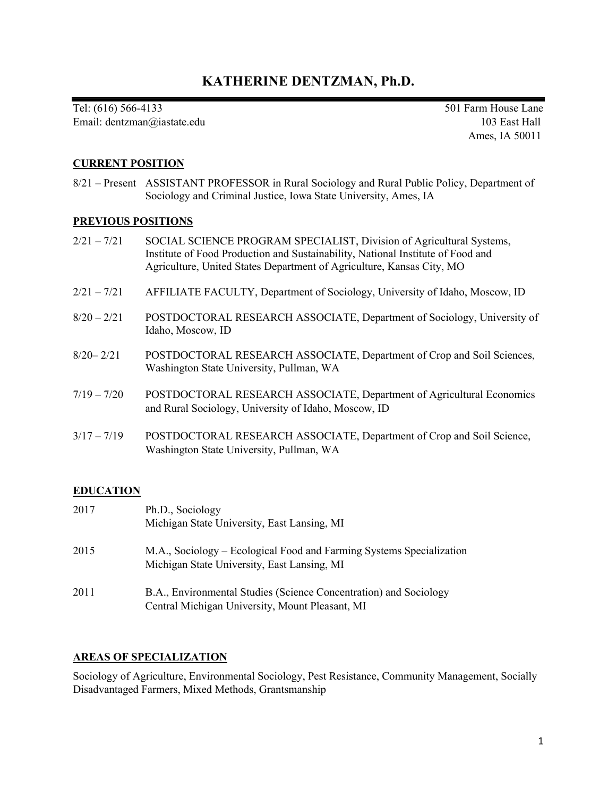# **KATHERINE DENTZMAN, Ph.D.**

Tel: (616) 566-4133 501 Farm House Lane Email: dentzman@iastate.edu 103 East Hall

Ames, IA 50011

# **CURRENT POSITION**

8/21 – Present ASSISTANT PROFESSOR in Rural Sociology and Rural Public Policy, Department of Sociology and Criminal Justice, Iowa State University, Ames, IA

### **PREVIOUS POSITIONS**

- 2/21 7/21 SOCIAL SCIENCE PROGRAM SPECIALIST, Division of Agricultural Systems, Institute of Food Production and Sustainability, National Institute of Food and Agriculture, United States Department of Agriculture, Kansas City, MO
- 2/21 7/21 AFFILIATE FACULTY, Department of Sociology, University of Idaho, Moscow, ID
- 8/20 2/21 POSTDOCTORAL RESEARCH ASSOCIATE, Department of Sociology, University of Idaho, Moscow, ID
- 8/20– 2/21 POSTDOCTORAL RESEARCH ASSOCIATE, Department of Crop and Soil Sciences, Washington State University, Pullman, WA
- 7/19 7/20 POSTDOCTORAL RESEARCH ASSOCIATE, Department of Agricultural Economics and Rural Sociology, University of Idaho, Moscow, ID
- 3/17 7/19 POSTDOCTORAL RESEARCH ASSOCIATE, Department of Crop and Soil Science, Washington State University, Pullman, WA

# **EDUCATION**

| 2017 | Ph.D., Sociology<br>Michigan State University, East Lansing, MI                                                      |
|------|----------------------------------------------------------------------------------------------------------------------|
| 2015 | M.A., Sociology – Ecological Food and Farming Systems Specialization<br>Michigan State University, East Lansing, MI  |
| 2011 | B.A., Environmental Studies (Science Concentration) and Sociology<br>Central Michigan University, Mount Pleasant, MI |

### **AREAS OF SPECIALIZATION**

Sociology of Agriculture, Environmental Sociology, Pest Resistance, Community Management, Socially Disadvantaged Farmers, Mixed Methods, Grantsmanship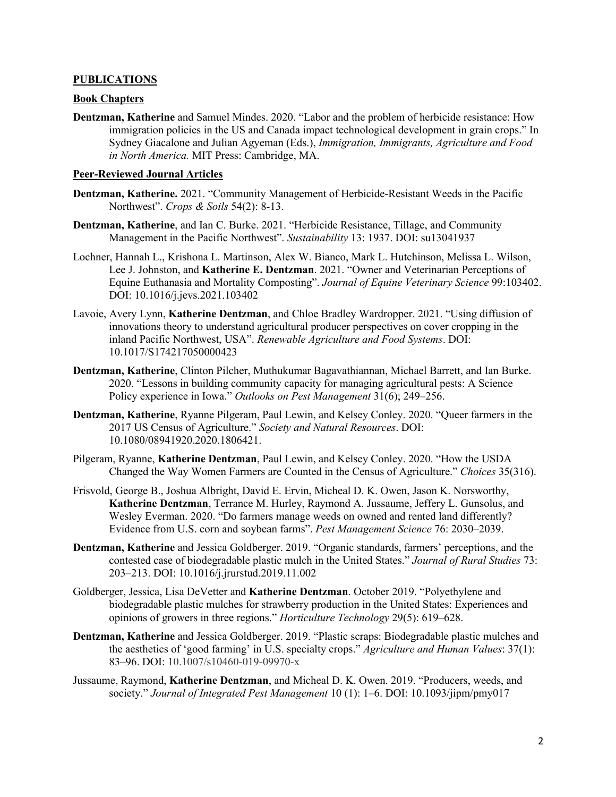### **PUBLICATIONS**

### **Book Chapters**

**Dentzman, Katherine** and Samuel Mindes. 2020. "Labor and the problem of herbicide resistance: How immigration policies in the US and Canada impact technological development in grain crops." In Sydney Giacalone and Julian Agyeman (Eds.), *Immigration, Immigrants, Agriculture and Food in North America.* MIT Press: Cambridge, MA.

#### **Peer-Reviewed Journal Articles**

- **Dentzman, Katherine.** 2021. "Community Management of Herbicide-Resistant Weeds in the Pacific Northwest". *Crops & Soils* 54(2): 8-13.
- **Dentzman, Katherine**, and Ian C. Burke. 2021. "Herbicide Resistance, Tillage, and Community Management in the Pacific Northwest". *Sustainability* 13: 1937. DOI: su13041937
- Lochner, Hannah L., Krishona L. Martinson, Alex W. Bianco, Mark L. Hutchinson, Melissa L. Wilson, Lee J. Johnston, and **Katherine E. Dentzman**. 2021. "Owner and Veterinarian Perceptions of Equine Euthanasia and Mortality Composting". *Journal of Equine Veterinary Science* 99:103402. DOI: 10.1016/j.jevs.2021.103402
- Lavoie, Avery Lynn, **Katherine Dentzman**, and Chloe Bradley Wardropper. 2021. "Using diffusion of innovations theory to understand agricultural producer perspectives on cover cropping in the inland Pacific Northwest, USA". *Renewable Agriculture and Food Systems*. DOI: 10.1017/S174217050000423
- **Dentzman, Katherine**, Clinton Pilcher, Muthukumar Bagavathiannan, Michael Barrett, and Ian Burke. 2020. "Lessons in building community capacity for managing agricultural pests: A Science Policy experience in Iowa." *Outlooks on Pest Management* 31(6); 249–256.
- **Dentzman, Katherine**, Ryanne Pilgeram, Paul Lewin, and Kelsey Conley. 2020. "Queer farmers in the 2017 US Census of Agriculture." *Society and Natural Resources*. DOI: 10.1080/08941920.2020.1806421.
- Pilgeram, Ryanne, **Katherine Dentzman**, Paul Lewin, and Kelsey Conley. 2020. "How the USDA Changed the Way Women Farmers are Counted in the Census of Agriculture." *Choices* 35(316).
- Frisvold, George B., Joshua Albright, David E. Ervin, Micheal D. K. Owen, Jason K. Norsworthy, **Katherine Dentzman**, Terrance M. Hurley, Raymond A. Jussaume, Jeffery L. Gunsolus, and Wesley Everman. 2020. "Do farmers manage weeds on owned and rented land differently? Evidence from U.S. corn and soybean farms". *Pest Management Science* 76: 2030–2039.
- **Dentzman, Katherine** and Jessica Goldberger. 2019. "Organic standards, farmers' perceptions, and the contested case of biodegradable plastic mulch in the United States." *Journal of Rural Studies* 73: 203–213. DOI: 10.1016/j.jrurstud.2019.11.002
- Goldberger, Jessica, Lisa DeVetter and **Katherine Dentzman**. October 2019. "Polyethylene and biodegradable plastic mulches for strawberry production in the United States: Experiences and opinions of growers in three regions." *Horticulture Technology* 29(5): 619–628.
- **Dentzman, Katherine** and Jessica Goldberger. 2019. "Plastic scraps: Biodegradable plastic mulches and the aesthetics of 'good farming' in U.S. specialty crops." *Agriculture and Human Values*: 37(1): 83–96. DOI: 10.1007/s10460-019-09970-x
- Jussaume, Raymond, **Katherine Dentzman**, and Micheal D. K. Owen. 2019. "Producers, weeds, and society." *Journal of Integrated Pest Management* 10 (1): 1–6. DOI: 10.1093/jipm/pmy017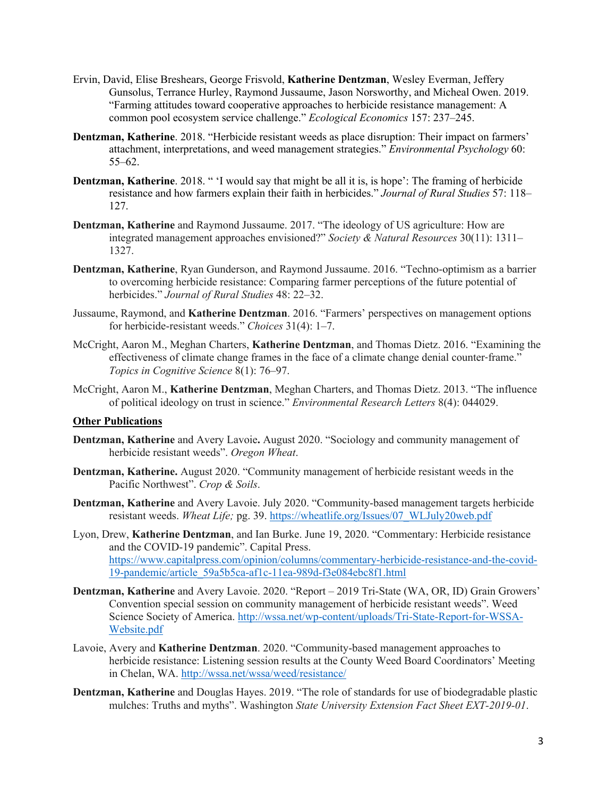- Ervin, David, Elise Breshears, George Frisvold, **Katherine Dentzman**, Wesley Everman, Jeffery Gunsolus, Terrance Hurley, Raymond Jussaume, Jason Norsworthy, and Micheal Owen. 2019. "Farming attitudes toward cooperative approaches to herbicide resistance management: A common pool ecosystem service challenge." *Ecological Economics* 157: 237–245.
- **Dentzman, Katherine**. 2018. "Herbicide resistant weeds as place disruption: Their impact on farmers' attachment, interpretations, and weed management strategies." *Environmental Psychology* 60: 55–62.
- **Dentzman, Katherine**. 2018. " 'I would say that might be all it is, is hope': The framing of herbicide resistance and how farmers explain their faith in herbicides." *Journal of Rural Studies* 57: 118– 127.
- **Dentzman, Katherine** and Raymond Jussaume. 2017. "The ideology of US agriculture: How are integrated management approaches envisioned?" *Society & Natural Resources* 30(11): 1311– 1327.
- **Dentzman, Katherine**, Ryan Gunderson, and Raymond Jussaume. 2016. "Techno-optimism as a barrier to overcoming herbicide resistance: Comparing farmer perceptions of the future potential of herbicides." *Journal of Rural Studies* 48: 22–32.
- Jussaume, Raymond, and **Katherine Dentzman**. 2016. "Farmers' perspectives on management options for herbicide-resistant weeds." *Choices* 31(4): 1–7.
- McCright, Aaron M., Meghan Charters, **Katherine Dentzman**, and Thomas Dietz. 2016. "Examining the effectiveness of climate change frames in the face of a climate change denial counter‐frame." *Topics in Cognitive Science* 8(1): 76–97.
- McCright, Aaron M., **Katherine Dentzman**, Meghan Charters, and Thomas Dietz. 2013. "The influence of political ideology on trust in science." *Environmental Research Letters* 8(4): 044029.

### **Other Publications**

- **Dentzman, Katherine** and Avery Lavoie**.** August 2020. "Sociology and community management of herbicide resistant weeds". *Oregon Wheat*.
- **Dentzman, Katherine.** August 2020. "Community management of herbicide resistant weeds in the Pacific Northwest". *Crop & Soils*.
- **Dentzman, Katherine** and Avery Lavoie. July 2020. "Community-based management targets herbicide resistant weeds. *Wheat Life;* pg. 39. https://wheatlife.org/Issues/07\_WLJuly20web.pdf
- Lyon, Drew, **Katherine Dentzman**, and Ian Burke. June 19, 2020. "Commentary: Herbicide resistance and the COVID-19 pandemic". Capital Press. https://www.capitalpress.com/opinion/columns/commentary-herbicide-resistance-and-the-covid-19-pandemic/article\_59a5b5ca-af1c-11ea-989d-f3e084ebc8f1.html
- **Dentzman, Katherine** and Avery Lavoie. 2020. "Report 2019 Tri-State (WA, OR, ID) Grain Growers' Convention special session on community management of herbicide resistant weeds". Weed Science Society of America. http://wssa.net/wp-content/uploads/Tri-State-Report-for-WSSA-Website.pdf
- Lavoie, Avery and **Katherine Dentzman**. 2020. "Community-based management approaches to herbicide resistance: Listening session results at the County Weed Board Coordinators' Meeting in Chelan, WA. http://wssa.net/wssa/weed/resistance/
- **Dentzman, Katherine** and Douglas Hayes. 2019. "The role of standards for use of biodegradable plastic mulches: Truths and myths". Washington *State University Extension Fact Sheet EXT-2019-01*.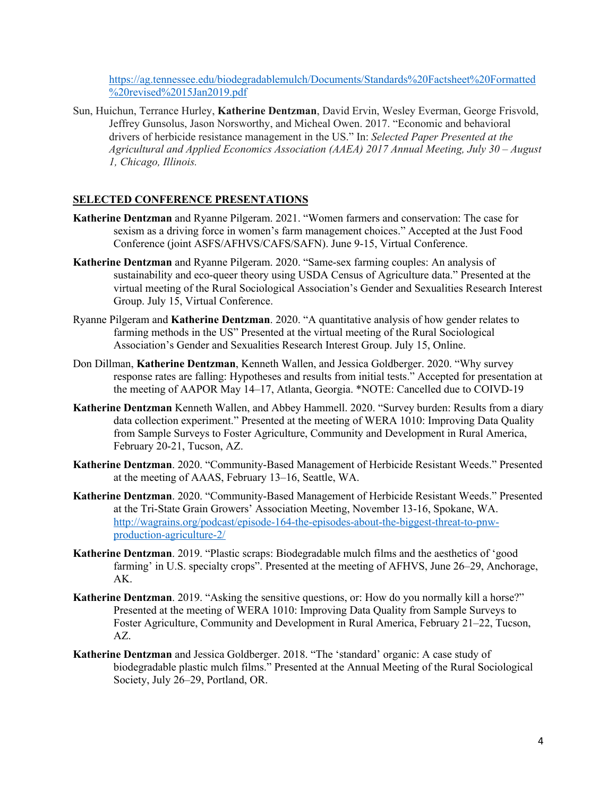https://ag.tennessee.edu/biodegradablemulch/Documents/Standards%20Factsheet%20Formatted %20revised%2015Jan2019.pdf

Sun, Huichun, Terrance Hurley, **Katherine Dentzman**, David Ervin, Wesley Everman, George Frisvold, Jeffrey Gunsolus, Jason Norsworthy, and Micheal Owen. 2017. "Economic and behavioral drivers of herbicide resistance management in the US." In: *Selected Paper Presented at the Agricultural and Applied Economics Association (AAEA) 2017 Annual Meeting, July 30 – August 1, Chicago, Illinois.* 

# **SELECTED CONFERENCE PRESENTATIONS**

- **Katherine Dentzman** and Ryanne Pilgeram. 2021. "Women farmers and conservation: The case for sexism as a driving force in women's farm management choices." Accepted at the Just Food Conference (joint ASFS/AFHVS/CAFS/SAFN). June 9-15, Virtual Conference.
- **Katherine Dentzman** and Ryanne Pilgeram. 2020. "Same-sex farming couples: An analysis of sustainability and eco-queer theory using USDA Census of Agriculture data." Presented at the virtual meeting of the Rural Sociological Association's Gender and Sexualities Research Interest Group. July 15, Virtual Conference.
- Ryanne Pilgeram and **Katherine Dentzman**. 2020. "A quantitative analysis of how gender relates to farming methods in the US" Presented at the virtual meeting of the Rural Sociological Association's Gender and Sexualities Research Interest Group. July 15, Online.
- Don Dillman, **Katherine Dentzman**, Kenneth Wallen, and Jessica Goldberger. 2020. "Why survey response rates are falling: Hypotheses and results from initial tests." Accepted for presentation at the meeting of AAPOR May 14–17, Atlanta, Georgia. \*NOTE: Cancelled due to COIVD-19
- **Katherine Dentzman** Kenneth Wallen, and Abbey Hammell. 2020. "Survey burden: Results from a diary data collection experiment." Presented at the meeting of WERA 1010: Improving Data Quality from Sample Surveys to Foster Agriculture, Community and Development in Rural America, February 20-21, Tucson, AZ.
- **Katherine Dentzman**. 2020. "Community-Based Management of Herbicide Resistant Weeds." Presented at the meeting of AAAS, February 13–16, Seattle, WA.
- **Katherine Dentzman**. 2020. "Community-Based Management of Herbicide Resistant Weeds." Presented at the Tri-State Grain Growers' Association Meeting, November 13-16, Spokane, WA. http://wagrains.org/podcast/episode-164-the-episodes-about-the-biggest-threat-to-pnwproduction-agriculture-2/
- **Katherine Dentzman**. 2019. "Plastic scraps: Biodegradable mulch films and the aesthetics of 'good farming' in U.S. specialty crops". Presented at the meeting of AFHVS, June 26–29, Anchorage, AK.
- **Katherine Dentzman**. 2019. "Asking the sensitive questions, or: How do you normally kill a horse?" Presented at the meeting of WERA 1010: Improving Data Quality from Sample Surveys to Foster Agriculture, Community and Development in Rural America, February 21–22, Tucson, AZ.
- **Katherine Dentzman** and Jessica Goldberger. 2018. "The 'standard' organic: A case study of biodegradable plastic mulch films." Presented at the Annual Meeting of the Rural Sociological Society, July 26–29, Portland, OR.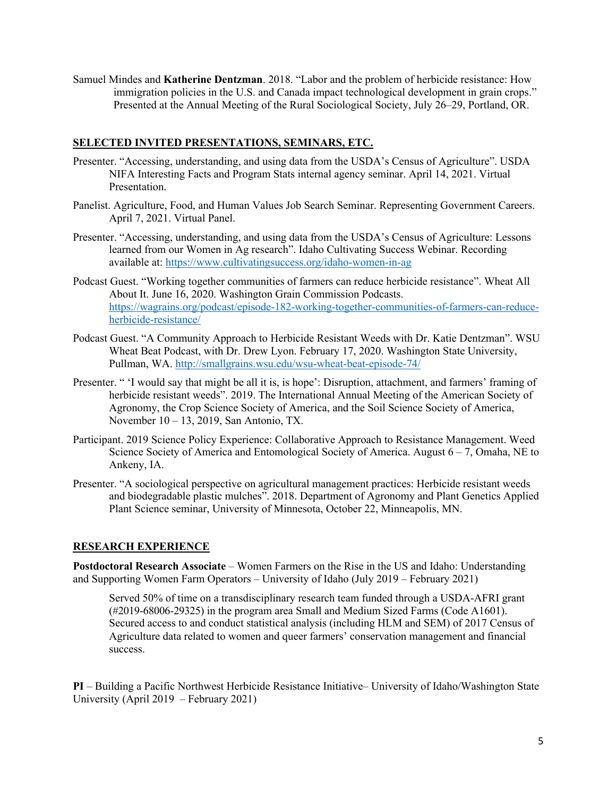Samuel Mindes and **Katherine Dentzman**. 2018. "Labor and the problem of herbicide resistance: How immigration policies in the U.S. and Canada impact technological development in grain crops." Presented at the Annual Meeting of the Rural Sociological Society, July 26–29, Portland, OR.

# **SELECTED INVITED PRESENTATIONS, SEMINARS, ETC.**

- Presenter. "Accessing, understanding, and using data from the USDA's Census of Agriculture". USDA NIFA Interesting Facts and Program Stats internal agency seminar. April 14, 2021. Virtual Presentation.
- Panelist. Agriculture, Food, and Human Values Job Search Seminar. Representing Government Careers. April 7, 2021. Virtual Panel.
- Presenter. "Accessing, understanding, and using data from the USDA's Census of Agriculture: Lessons learned from our Women in Ag research". Idaho Cultivating Success Webinar. Recording available at: https://www.cultivatingsuccess.org/idaho-women-in-ag
- Podcast Guest. "Working together communities of farmers can reduce herbicide resistance". Wheat All About It. June 16, 2020. Washington Grain Commission Podcasts. https://wagrains.org/podcast/episode-182-working-together-communities-of-farmers-can-reduceherbicide-resistance/
- Podcast Guest. "A Community Approach to Herbicide Resistant Weeds with Dr. Katie Dentzman". WSU Wheat Beat Podcast, with Dr. Drew Lyon. February 17, 2020. Washington State University, Pullman, WA. http://smallgrains.wsu.edu/wsu-wheat-beat-episode-74/
- Presenter. " 'I would say that might be all it is, is hope': Disruption, attachment, and farmers' framing of herbicide resistant weeds". 2019. The International Annual Meeting of the American Society of Agronomy, the Crop Science Society of America, and the Soil Science Society of America, November 10 – 13, 2019, San Antonio, TX.
- Participant. 2019 Science Policy Experience: Collaborative Approach to Resistance Management. Weed Science Society of America and Entomological Society of America. August 6 – 7, Omaha, NE to Ankeny, IA.
- Presenter. "A sociological perspective on agricultural management practices: Herbicide resistant weeds and biodegradable plastic mulches". 2018. Department of Agronomy and Plant Genetics Applied Plant Science seminar, University of Minnesota, October 22, Minneapolis, MN.

## **RESEARCH EXPERIENCE**

**Postdoctoral Research Associate** – Women Farmers on the Rise in the US and Idaho: Understanding and Supporting Women Farm Operators – University of Idaho (July 2019 – February 2021)

Served 50% of time on a transdisciplinary research team funded through a USDA-AFRI grant (#2019-68006-29325) in the program area Small and Medium Sized Farms (Code A1601). Secured access to and conduct statistical analysis (including HLM and SEM) of 2017 Census of Agriculture data related to women and queer farmers' conservation management and financial success.

**PI** – Building a Pacific Northwest Herbicide Resistance Initiative– University of Idaho/Washington State University (April 2019 – February 2021)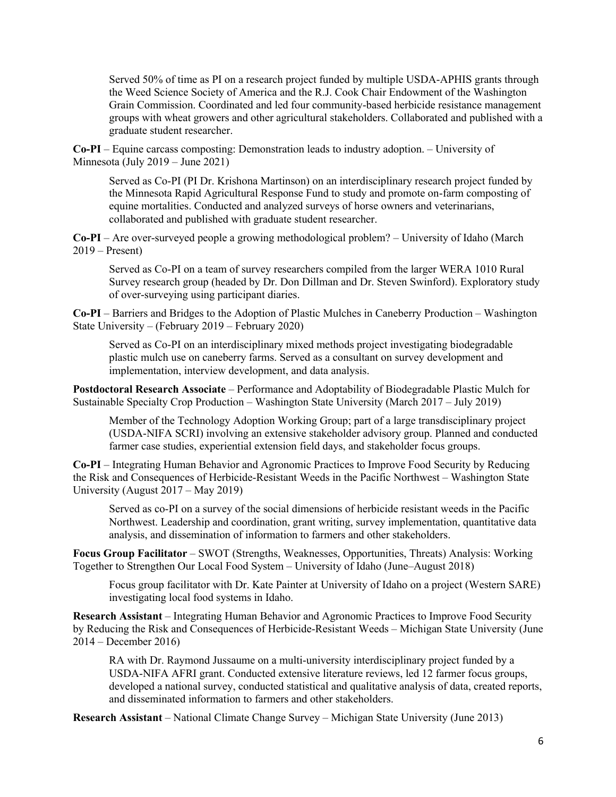Served 50% of time as PI on a research project funded by multiple USDA-APHIS grants through the Weed Science Society of America and the R.J. Cook Chair Endowment of the Washington Grain Commission. Coordinated and led four community-based herbicide resistance management groups with wheat growers and other agricultural stakeholders. Collaborated and published with a graduate student researcher.

**Co-PI** – Equine carcass composting: Demonstration leads to industry adoption. – University of Minnesota (July 2019 – June 2021)

Served as Co-PI (PI Dr. Krishona Martinson) on an interdisciplinary research project funded by the Minnesota Rapid Agricultural Response Fund to study and promote on-farm composting of equine mortalities. Conducted and analyzed surveys of horse owners and veterinarians, collaborated and published with graduate student researcher.

**Co-PI** – Are over-surveyed people a growing methodological problem? – University of Idaho (March  $2019$  – Present)

Served as Co-PI on a team of survey researchers compiled from the larger WERA 1010 Rural Survey research group (headed by Dr. Don Dillman and Dr. Steven Swinford). Exploratory study of over-surveying using participant diaries.

**Co-PI** – Barriers and Bridges to the Adoption of Plastic Mulches in Caneberry Production – Washington State University – (February 2019 – February 2020)

Served as Co-PI on an interdisciplinary mixed methods project investigating biodegradable plastic mulch use on caneberry farms. Served as a consultant on survey development and implementation, interview development, and data analysis.

**Postdoctoral Research Associate** – Performance and Adoptability of Biodegradable Plastic Mulch for Sustainable Specialty Crop Production – Washington State University (March 2017 – July 2019)

Member of the Technology Adoption Working Group; part of a large transdisciplinary project (USDA-NIFA SCRI) involving an extensive stakeholder advisory group. Planned and conducted farmer case studies, experiential extension field days, and stakeholder focus groups.

**Co-PI** – Integrating Human Behavior and Agronomic Practices to Improve Food Security by Reducing the Risk and Consequences of Herbicide-Resistant Weeds in the Pacific Northwest – Washington State University (August 2017 – May 2019)

Served as co-PI on a survey of the social dimensions of herbicide resistant weeds in the Pacific Northwest. Leadership and coordination, grant writing, survey implementation, quantitative data analysis, and dissemination of information to farmers and other stakeholders.

**Focus Group Facilitator** – SWOT (Strengths, Weaknesses, Opportunities, Threats) Analysis: Working Together to Strengthen Our Local Food System – University of Idaho (June–August 2018)

Focus group facilitator with Dr. Kate Painter at University of Idaho on a project (Western SARE) investigating local food systems in Idaho.

**Research Assistant** – Integrating Human Behavior and Agronomic Practices to Improve Food Security by Reducing the Risk and Consequences of Herbicide-Resistant Weeds – Michigan State University (June 2014 – December 2016)

RA with Dr. Raymond Jussaume on a multi-university interdisciplinary project funded by a USDA-NIFA AFRI grant. Conducted extensive literature reviews, led 12 farmer focus groups, developed a national survey, conducted statistical and qualitative analysis of data, created reports, and disseminated information to farmers and other stakeholders.

**Research Assistant** – National Climate Change Survey – Michigan State University (June 2013)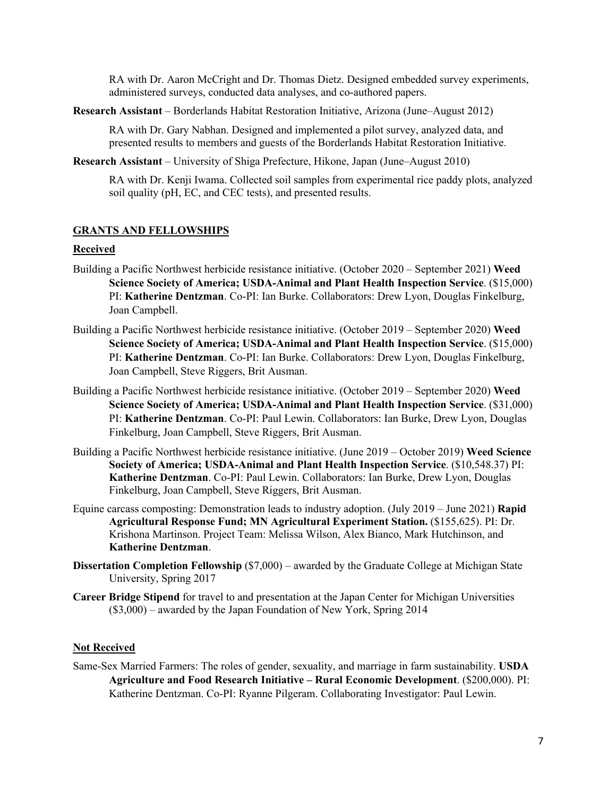RA with Dr. Aaron McCright and Dr. Thomas Dietz. Designed embedded survey experiments, administered surveys, conducted data analyses, and co-authored papers.

**Research Assistant** – Borderlands Habitat Restoration Initiative, Arizona (June–August 2012)

RA with Dr. Gary Nabhan. Designed and implemented a pilot survey, analyzed data, and presented results to members and guests of the Borderlands Habitat Restoration Initiative.

**Research Assistant** – University of Shiga Prefecture, Hikone, Japan (June–August 2010)

RA with Dr. Kenji Iwama. Collected soil samples from experimental rice paddy plots, analyzed soil quality (pH, EC, and CEC tests), and presented results.

#### **GRANTS AND FELLOWSHIPS**

#### **Received**

- Building a Pacific Northwest herbicide resistance initiative. (October 2020 September 2021) **Weed Science Society of America; USDA-Animal and Plant Health Inspection Service**. (\$15,000) PI: **Katherine Dentzman**. Co-PI: Ian Burke. Collaborators: Drew Lyon, Douglas Finkelburg, Joan Campbell.
- Building a Pacific Northwest herbicide resistance initiative. (October 2019 September 2020) **Weed Science Society of America; USDA-Animal and Plant Health Inspection Service**. (\$15,000) PI: **Katherine Dentzman**. Co-PI: Ian Burke. Collaborators: Drew Lyon, Douglas Finkelburg, Joan Campbell, Steve Riggers, Brit Ausman.
- Building a Pacific Northwest herbicide resistance initiative. (October 2019 September 2020) **Weed Science Society of America; USDA-Animal and Plant Health Inspection Service**. (\$31,000) PI: **Katherine Dentzman**. Co-PI: Paul Lewin. Collaborators: Ian Burke, Drew Lyon, Douglas Finkelburg, Joan Campbell, Steve Riggers, Brit Ausman.
- Building a Pacific Northwest herbicide resistance initiative. (June 2019 October 2019) **Weed Science Society of America; USDA-Animal and Plant Health Inspection Service**. (\$10,548.37) PI: **Katherine Dentzman**. Co-PI: Paul Lewin. Collaborators: Ian Burke, Drew Lyon, Douglas Finkelburg, Joan Campbell, Steve Riggers, Brit Ausman.
- Equine carcass composting: Demonstration leads to industry adoption. (July 2019 June 2021) **Rapid Agricultural Response Fund; MN Agricultural Experiment Station.** (\$155,625). PI: Dr. Krishona Martinson. Project Team: Melissa Wilson, Alex Bianco, Mark Hutchinson, and **Katherine Dentzman**.
- **Dissertation Completion Fellowship** (\$7,000) awarded by the Graduate College at Michigan State University, Spring 2017
- **Career Bridge Stipend** for travel to and presentation at the Japan Center for Michigan Universities (\$3,000) – awarded by the Japan Foundation of New York, Spring 2014

### **Not Received**

Same-Sex Married Farmers: The roles of gender, sexuality, and marriage in farm sustainability. **USDA Agriculture and Food Research Initiative – Rural Economic Development**. (\$200,000). PI: Katherine Dentzman. Co-PI: Ryanne Pilgeram. Collaborating Investigator: Paul Lewin.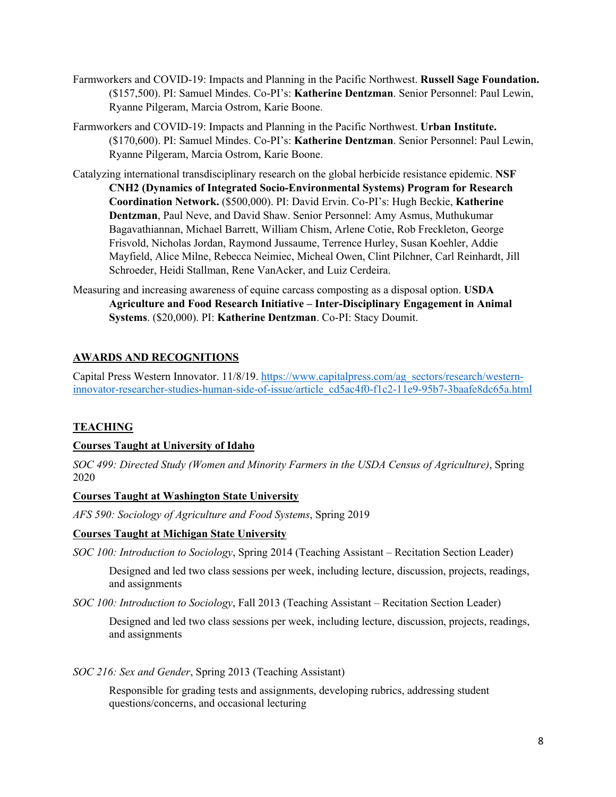- Farmworkers and COVID-19: Impacts and Planning in the Pacific Northwest. **Russell Sage Foundation.**  (\$157,500). PI: Samuel Mindes. Co-PI's: **Katherine Dentzman**. Senior Personnel: Paul Lewin, Ryanne Pilgeram, Marcia Ostrom, Karie Boone.
- Farmworkers and COVID-19: Impacts and Planning in the Pacific Northwest. **Urban Institute.**  (\$170,600). PI: Samuel Mindes. Co-PI's: **Katherine Dentzman**. Senior Personnel: Paul Lewin, Ryanne Pilgeram, Marcia Ostrom, Karie Boone.
- Catalyzing international transdisciplinary research on the global herbicide resistance epidemic. **NSF CNH2 (Dynamics of Integrated Socio-Environmental Systems) Program for Research Coordination Network.** (\$500,000). PI: David Ervin. Co-PI's: Hugh Beckie, **Katherine Dentzman**, Paul Neve, and David Shaw. Senior Personnel: Amy Asmus, Muthukumar Bagavathiannan, Michael Barrett, William Chism, Arlene Cotie, Rob Freckleton, George Frisvold, Nicholas Jordan, Raymond Jussaume, Terrence Hurley, Susan Koehler, Addie Mayfield, Alice Milne, Rebecca Neimiec, Micheal Owen, Clint Pilchner, Carl Reinhardt, Jill Schroeder, Heidi Stallman, Rene VanAcker, and Luiz Cerdeira.
- Measuring and increasing awareness of equine carcass composting as a disposal option. **USDA Agriculture and Food Research Initiative – Inter-Disciplinary Engagement in Animal Systems**. (\$20,000). PI: **Katherine Dentzman**. Co-PI: Stacy Doumit.

# **AWARDS AND RECOGNITIONS**

Capital Press Western Innovator. 11/8/19. https://www.capitalpress.com/ag\_sectors/research/westerninnovator-researcher-studies-human-side-of-issue/article\_cd5ac4f0-f1c2-11e9-95b7-3baafe8dc65a.html

# **TEACHING**

# **Courses Taught at University of Idaho**

*SOC 499: Directed Study (Women and Minority Farmers in the USDA Census of Agriculture)*, Spring 2020

## **Courses Taught at Washington State University**

*AFS 590: Sociology of Agriculture and Food Systems*, Spring 2019

## **Courses Taught at Michigan State University**

*SOC 100: Introduction to Sociology*, Spring 2014 (Teaching Assistant – Recitation Section Leader)

Designed and led two class sessions per week, including lecture, discussion, projects, readings, and assignments

*SOC 100: Introduction to Sociology*, Fall 2013 (Teaching Assistant – Recitation Section Leader)

Designed and led two class sessions per week, including lecture, discussion, projects, readings, and assignments

## *SOC 216: Sex and Gender*, Spring 2013 (Teaching Assistant)

Responsible for grading tests and assignments, developing rubrics, addressing student questions/concerns, and occasional lecturing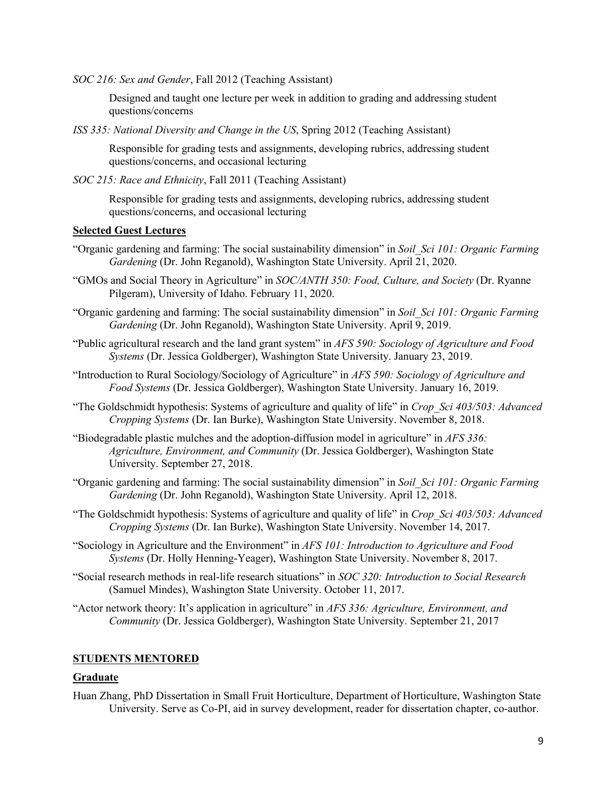*SOC 216: Sex and Gender*, Fall 2012 (Teaching Assistant)

Designed and taught one lecture per week in addition to grading and addressing student questions/concerns

*ISS 335: National Diversity and Change in the US*, Spring 2012 (Teaching Assistant)

Responsible for grading tests and assignments, developing rubrics, addressing student questions/concerns, and occasional lecturing

*SOC 215: Race and Ethnicity*, Fall 2011 (Teaching Assistant)

Responsible for grading tests and assignments, developing rubrics, addressing student questions/concerns, and occasional lecturing

### **Selected Guest Lectures**

- "Organic gardening and farming: The social sustainability dimension" in *Soil\_Sci 101: Organic Farming Gardening* (Dr. John Reganold), Washington State University. April 21, 2020.
- "GMOs and Social Theory in Agriculture" in *SOC/ANTH 350: Food, Culture, and Society* (Dr. Ryanne Pilgeram), University of Idaho. February 11, 2020.
- "Organic gardening and farming: The social sustainability dimension" in *Soil\_Sci 101: Organic Farming Gardening* (Dr. John Reganold), Washington State University. April 9, 2019.
- "Public agricultural research and the land grant system" in *AFS 590: Sociology of Agriculture and Food Systems* (Dr. Jessica Goldberger), Washington State University. January 23, 2019.
- "Introduction to Rural Sociology/Sociology of Agriculture" in *AFS 590: Sociology of Agriculture and Food Systems* (Dr. Jessica Goldberger), Washington State University. January 16, 2019.
- "The Goldschmidt hypothesis: Systems of agriculture and quality of life" in *Crop\_Sci 403/503: Advanced Cropping Systems* (Dr. Ian Burke), Washington State University. November 8, 2018.
- "Biodegradable plastic mulches and the adoption-diffusion model in agriculture" in *AFS 336: Agriculture, Environment, and Community* (Dr. Jessica Goldberger), Washington State University. September 27, 2018.
- "Organic gardening and farming: The social sustainability dimension" in *Soil\_Sci 101: Organic Farming Gardening* (Dr. John Reganold), Washington State University. April 12, 2018.
- "The Goldschmidt hypothesis: Systems of agriculture and quality of life" in *Crop\_Sci 403/503: Advanced Cropping Systems* (Dr. Ian Burke), Washington State University. November 14, 2017.
- "Sociology in Agriculture and the Environment" in *AFS 101: Introduction to Agriculture and Food Systems* (Dr. Holly Henning-Yeager), Washington State University. November 8, 2017.
- "Social research methods in real-life research situations" in *SOC 320: Introduction to Social Research*  (Samuel Mindes), Washington State University. October 11, 2017.
- "Actor network theory: It's application in agriculture" in *AFS 336: Agriculture, Environment, and Community* (Dr. Jessica Goldberger), Washington State University. September 21, 2017

#### **STUDENTS MENTORED**

#### **Graduate**

Huan Zhang, PhD Dissertation in Small Fruit Horticulture, Department of Horticulture, Washington State University. Serve as Co-PI, aid in survey development, reader for dissertation chapter, co-author.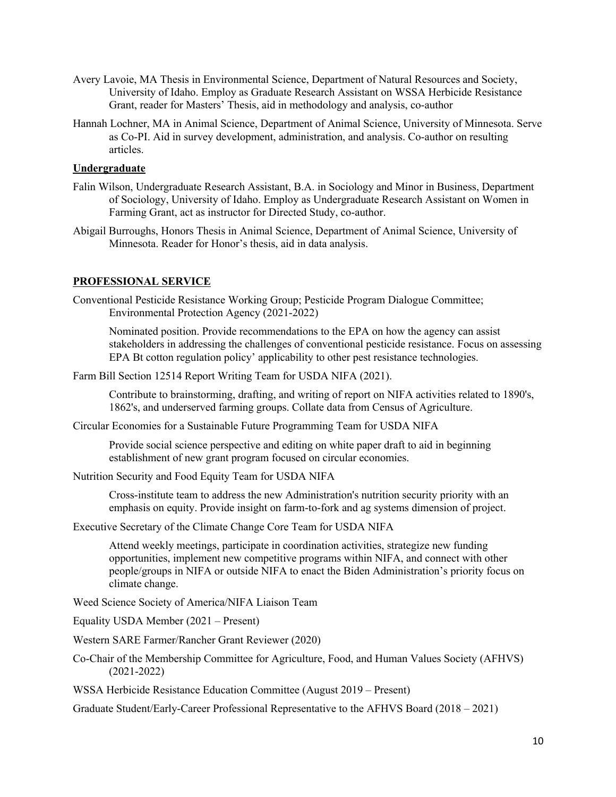- Avery Lavoie, MA Thesis in Environmental Science, Department of Natural Resources and Society, University of Idaho. Employ as Graduate Research Assistant on WSSA Herbicide Resistance Grant, reader for Masters' Thesis, aid in methodology and analysis, co-author
- Hannah Lochner, MA in Animal Science, Department of Animal Science, University of Minnesota. Serve as Co-PI. Aid in survey development, administration, and analysis. Co-author on resulting articles.

### **Undergraduate**

- Falin Wilson, Undergraduate Research Assistant, B.A. in Sociology and Minor in Business, Department of Sociology, University of Idaho. Employ as Undergraduate Research Assistant on Women in Farming Grant, act as instructor for Directed Study, co-author.
- Abigail Burroughs, Honors Thesis in Animal Science, Department of Animal Science, University of Minnesota. Reader for Honor's thesis, aid in data analysis.

### **PROFESSIONAL SERVICE**

Conventional Pesticide Resistance Working Group; Pesticide Program Dialogue Committee; Environmental Protection Agency (2021-2022)

Nominated position. Provide recommendations to the EPA on how the agency can assist stakeholders in addressing the challenges of conventional pesticide resistance. Focus on assessing EPA Bt cotton regulation policy' applicability to other pest resistance technologies.

Farm Bill Section 12514 Report Writing Team for USDA NIFA (2021).

Contribute to brainstorming, drafting, and writing of report on NIFA activities related to 1890's, 1862's, and underserved farming groups. Collate data from Census of Agriculture.

Circular Economies for a Sustainable Future Programming Team for USDA NIFA

Provide social science perspective and editing on white paper draft to aid in beginning establishment of new grant program focused on circular economies.

Nutrition Security and Food Equity Team for USDA NIFA

Cross-institute team to address the new Administration's nutrition security priority with an emphasis on equity. Provide insight on farm-to-fork and ag systems dimension of project.

Executive Secretary of the Climate Change Core Team for USDA NIFA

Attend weekly meetings, participate in coordination activities, strategize new funding opportunities, implement new competitive programs within NIFA, and connect with other people/groups in NIFA or outside NIFA to enact the Biden Administration's priority focus on climate change.

Weed Science Society of America/NIFA Liaison Team

Equality USDA Member (2021 – Present)

Western SARE Farmer/Rancher Grant Reviewer (2020)

Co-Chair of the Membership Committee for Agriculture, Food, and Human Values Society (AFHVS) (2021-2022)

WSSA Herbicide Resistance Education Committee (August 2019 – Present)

Graduate Student/Early-Career Professional Representative to the AFHVS Board (2018 – 2021)